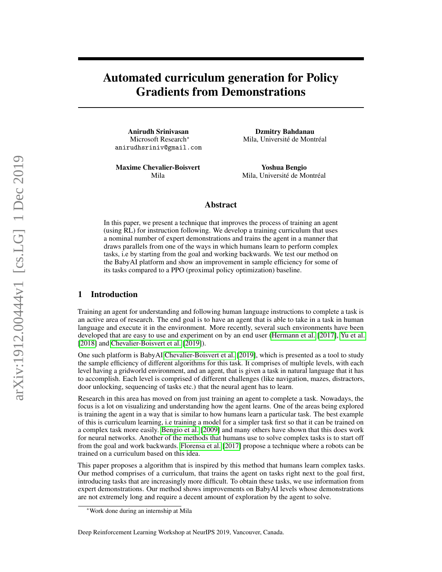# Automated curriculum generation for Policy Gradients from Demonstrations

Anirudh Srinivasan Microsoft Research<sup>∗</sup> anirudhsriniv@gmail.com

Maxime Chevalier-Boisvert Mila

Dzmitry Bahdanau Mila, Université de Montréal

Yoshua Bengio Mila, Université de Montréal

### Abstract

In this paper, we present a technique that improves the process of training an agent (using RL) for instruction following. We develop a training curriculum that uses a nominal number of expert demonstrations and trains the agent in a manner that draws parallels from one of the ways in which humans learn to perform complex tasks, i.e by starting from the goal and working backwards. We test our method on the BabyAI platform and show an improvement in sample efficiency for some of its tasks compared to a PPO (proximal policy optimization) baseline.

### 1 Introduction

Training an agent for understanding and following human language instructions to complete a task is an active area of research. The end goal is to have an agent that is able to take in a task in human language and execute it in the environment. More recently, several such environments have been developed that are easy to use and experiment on by an end user [\(Hermann et al.](#page-6-0) [\[2017\]](#page-6-0), [Yu et al.](#page-7-0) [\[2018\]](#page-7-0) and [Chevalier-Boisvert et al.](#page-6-1) [\[2019\]](#page-6-1)).

One such platform is BabyAI [Chevalier-Boisvert et al.](#page-6-1) [\[2019\]](#page-6-1), which is presented as a tool to study the sample efficiency of different algorithms for this task. It comprises of multiple levels, with each level having a gridworld environment, and an agent, that is given a task in natural language that it has to accomplish. Each level is comprised of different challenges (like navigation, mazes, distractors, door unlocking, sequencing of tasks etc.) that the neural agent has to learn.

Research in this area has moved on from just training an agent to complete a task. Nowadays, the focus is a lot on visualizing and understanding how the agent learns. One of the areas being explored is training the agent in a way that is similar to how humans learn a particular task. The best example of this is curriculum learning, i.e training a model for a simpler task first so that it can be trained on a complex task more easily. [Bengio et al.](#page-6-2) [\[2009\]](#page-6-2) and many others have shown that this does work for neural networks. Another of the methods that humans use to solve complex tasks is to start off from the goal and work backwards. [Florensa et al.](#page-6-3) [\[2017\]](#page-6-3) propose a technique where a robots can be trained on a curriculum based on this idea.

This paper proposes a algorithm that is inspired by this method that humans learn complex tasks. Our method comprises of a curriculum, that trains the agent on tasks right next to the goal first, introducing tasks that are increasingly more difficult. To obtain these tasks, we use information from expert demonstrations. Our method shows improvements on BabyAI levels whose demonstrations are not extremely long and require a decent amount of exploration by the agent to solve.

<sup>∗</sup>Work done during an internship at Mila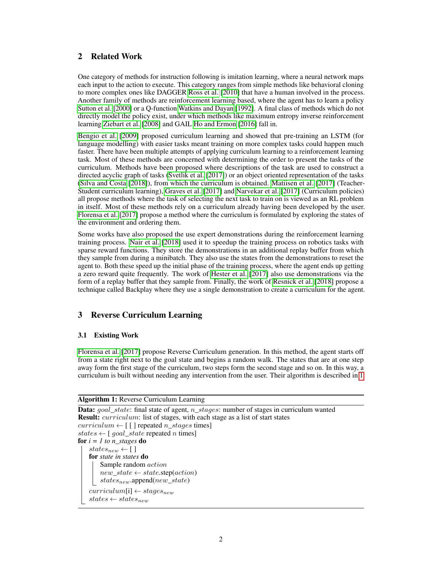### 2 Related Work

One category of methods for instruction following is imitation learning, where a neural network maps each input to the action to execute. This category ranges from simple methods like behavioral cloning to more complex ones like DAGGER [Ross et al.](#page-6-4) [\[2010\]](#page-6-4) that have a human involved in the process. Another family of methods are reinforcement learning based, where the agent has to learn a policy [Sutton et al.](#page-6-5) [\[2000\]](#page-6-5) or a Q-function [Watkins and Dayan](#page-7-1) [\[1992\]](#page-7-1). A final class of methods which do not directly model the policy exist, under which methods like maximum entropy inverse reinforcement learning [Ziebart et al.](#page-7-2) [\[2008\]](#page-7-2) and GAIL [Ho and Ermon](#page-6-6) [\[2016\]](#page-6-6) fall in.

[Bengio et al.](#page-6-2) [\[2009\]](#page-6-2) proposed curriculum learning and showed that pre-training an LSTM (for language modelling) with easier tasks meant training on more complex tasks could happen much faster. There have been multiple attempts of applying curriculum learning to a reinforcement learning task. Most of these methods are concerned with determining the order to present the tasks of the curriculum. Methods have been proposed where descriptions of the task are used to construct a directed acyclic graph of tasks [\(Svetlik et al.](#page-7-3) [\[2017\]](#page-7-3)) or an object oriented representation of the tasks [\(Silva and Costa](#page-6-7) [\[2018\]](#page-6-7)), from which the curriculum is obtained. [Matiisen et al.](#page-6-8) [\[2017\]](#page-6-8) (Teacher-Student curriculum learning), [Graves et al.](#page-6-9) [\[2017\]](#page-6-9) and [Narvekar et al.](#page-6-10) [\[2017\]](#page-6-10) (Curriculum policies) all propose methods where the task of selecting the next task to train on is viewed as an RL problem in itself. Most of these methods rely on a curriculum already having been developed by the user. [Florensa et al.](#page-6-3) [\[2017\]](#page-6-3) propose a method where the curriculum is formulated by exploring the states of the environment and ordering them.

Some works have also proposed the use expert demonstrations during the reinforcement learning training process. [Nair et al.](#page-6-11) [\[2018\]](#page-6-11) used it to speedup the training process on robotics tasks with sparse reward functions. They store the demonstrations in an additional replay buffer from which they sample from during a minibatch. They also use the states from the demonstrations to reset the agent to. Both these speed up the initial phase of the training process, where the agent ends up getting a zero reward quite frequently. The work of [Hester et al.](#page-6-12) [\[2017\]](#page-6-12) also use demonstrations via the form of a replay buffer that they sample from. Finally, the work of [Resnick et al.](#page-6-13) [\[2018\]](#page-6-13) propose a technique called Backplay where they use a single demonstration to create a curriculum for the agent.

### 3 Reverse Curriculum Learning

### 3.1 Existing Work

[Florensa et al.](#page-6-3) [\[2017\]](#page-6-3) propose Reverse Curriculum generation. In this method, the agent starts off from a state right next to the goal state and begins a random walk. The states that are at one step away form the first stage of the curriculum, two steps form the second stage and so on. In this way, a curriculum is built without needing any intervention from the user. Their algorithm is described in [1.](#page-1-0)

#### Algorithm 1: Reverse Curriculum Learning

<span id="page-1-0"></span>**Data:**  $goal\_state$ : final state of agent,  $n\_stages$ : number of stages in curriculum wanted Result: *curriculum*: list of stages, with each stage as a list of start states  $curriculum \leftarrow \lceil \lceil \rceil$  repeated  $n\_stages$  times] states  $\leftarrow$  [ goal\_state repeated n times] for *i = 1 to n\_stages* do  $states_{new} \leftarrow [$ ] for *state in states* do Sample random action  $new\_state \leftarrow state.sizep(action)$  $states_{new}$ .append( $new\_state$ )  $curriculum[i] \leftarrow stages_{new}$  $states \leftarrow states_{new}$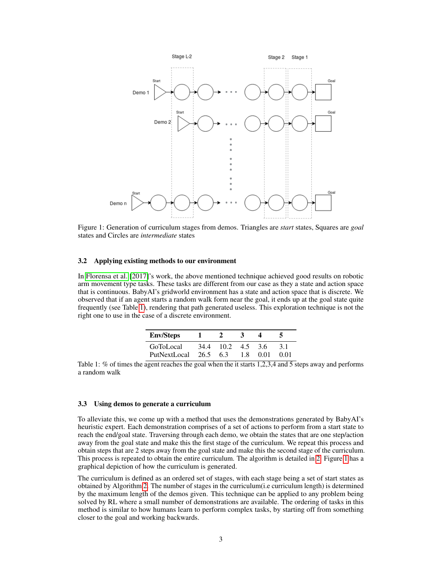<span id="page-2-1"></span>

Figure 1: Generation of curriculum stages from demos. Triangles are *start* states, Squares are *goal* states and Circles are *intermediate* states

#### 3.2 Applying existing methods to our environment

In [Florensa et al.](#page-6-3) [\[2017\]](#page-6-3)'s work, the above mentioned technique achieved good results on robotic arm movement type tasks. These tasks are different from our case as they a state and action space that is continuous. BabyAI's gridworld environment has a state and action space that is discrete. We observed that if an agent starts a random walk form near the goal, it ends up at the goal state quite frequently (see Table [1\)](#page-2-0), rendering that path generated useless. This exploration technique is not the right one to use in the case of a discrete environment.

| <b>Env/Steps</b>          |          |           |                |       |              |
|---------------------------|----------|-----------|----------------|-------|--------------|
| GoToLocal<br>PutNextLocal | 26.5 6.3 | 34.4 10.2 | 4.5 3.6<br>1.8 | -0.01 | -3.1<br>0.01 |

<span id="page-2-0"></span>Table 1: % of times the agent reaches the goal when the it starts 1,2,3,4 and 5 steps away and performs a random walk

#### 3.3 Using demos to generate a curriculum

To alleviate this, we come up with a method that uses the demonstrations generated by BabyAI's heuristic expert. Each demonstration comprises of a set of actions to perform from a start state to reach the end/goal state. Traversing through each demo, we obtain the states that are one step/action away from the goal state and make this the first stage of the curriculum. We repeat this process and obtain steps that are 2 steps away from the goal state and make this the second stage of the curriculum. This process is repeated to obtain the entire curriculum. The algorithm is detailed in [2.](#page-3-0) Figure [1](#page-2-1) has a graphical depiction of how the curriculum is generated.

The curriculum is defined as an ordered set of stages, with each stage being a set of start states as obtained by Algorithm [2.](#page-3-0) The number of stages in the curriculum(i.e curriculum length) is determined by the maximum length of the demos given. This technique can be applied to any problem being solved by RL where a small number of demonstrations are available. The ordering of tasks in this method is similar to how humans learn to perform complex tasks, by starting off from something closer to the goal and working backwards.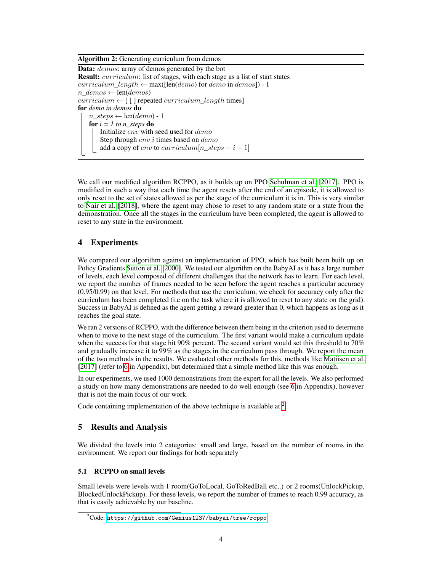Algorithm 2: Generating curriculum from demos **Data:** *demos*: array of demos generated by the bot **Result:** *curriculum*: list of stages, with each stage as a list of start states curriculum length  $\leftarrow$  max([len(demo) for demo in demos]) - 1  $n \text{ } demos \leftarrow len(demos)$  $curriculum \leftarrow \lceil \lceil \cdot \rceil$  repeated  $curriculum\_length$  times for *demo in demos* do  $n\_steps \leftarrow len(demo) - 1$ for  $i = 1$  to n\_steps do Initialize env with seed used for demo Step through  $env$  i times based on  $demo$ add a copy of env to curriculum[n\_steps  $- i - 1$ ]

<span id="page-3-0"></span>We call our modified algorithm RCPPO, as it builds up on PPO [Schulman et al.](#page-6-14) [\[2017\]](#page-6-14). PPO is modified in such a way that each time the agent resets after the end of an episode, it is allowed to only reset to the set of states allowed as per the stage of the curriculum it is in. This is very similar to [Nair et al.](#page-6-11) [\[2018\]](#page-6-11), where the agent may chose to reset to any random state or a state from the demonstration. Once all the stages in the curriculum have been completed, the agent is allowed to reset to any state in the environment.

## 4 Experiments

We compared our algorithm against an implementation of PPO, which has built been built up on Policy Gradients [Sutton et al.](#page-6-5) [\[2000\]](#page-6-5). We tested our algorithm on the BabyAI as it has a large number of levels, each level composed of different challenges that the network has to learn. For each level, we report the number of frames needed to be seen before the agent reaches a particular accuracy (0.95/0.99) on that level. For methods that use the curriculum, we check for accuracy only after the curriculum has been completed (i.e on the task where it is allowed to reset to any state on the grid). Success in BabyAI is defined as the agent getting a reward greater than 0, which happens as long as it reaches the goal state.

We ran 2 versions of RCPPO, with the difference between them being in the criterion used to determine when to move to the next stage of the curriculum. The first variant would make a curriculum update when the success for that stage hit 90% percent. The second variant would set this threshold to 70% and gradually increase it to 99% as the stages in the curriculum pass through. We report the mean of the two methods in the results. We evaluated other methods for this, methods like [Matiisen et al.](#page-6-8) [\[2017\]](#page-6-8) (refer to [6](#page-8-0) in Appendix), but determined that a simple method like this was enough.

In our experiments, we used 1000 demonstrations from the expert for all the levels. We also performed a study on how many demonstrations are needed to do well enough (see [6](#page-7-4) in Appendix), however that is not the main focus of our work.

Code containing implementation of the above technique is available at <sup>[2](#page-3-1)</sup>

### 5 Results and Analysis

We divided the levels into 2 categories: small and large, based on the number of rooms in the environment. We report our findings for both separately

### 5.1 RCPPO on small levels

Small levels were levels with 1 room(GoToLocal, GoToRedBall etc..) or 2 rooms(UnlockPickup, BlockedUnlockPickup). For these levels, we report the number of frames to reach 0.99 accuracy, as that is easily achievable by our baseline.

<span id="page-3-1"></span> $2^2$ Code: <https://github.com/Genius1237/babyai/tree/rcppo>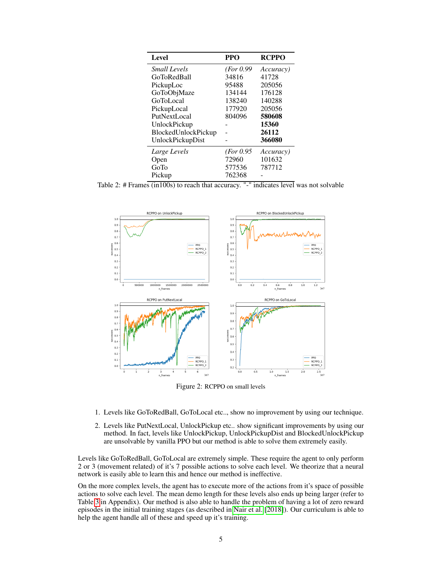| Level               | <b>PPO</b> | <b>RCPPO</b>      |
|---------------------|------------|-------------------|
| <b>Small Levels</b> | (For 0.99) | <i>Accuracy</i> ) |
| <b>GoToRedBall</b>  | 34816      | 41728             |
| PickupLoc           | 95488      | 205056            |
| GoToObjMaze         | 134144     | 176128            |
| <b>GoToLocal</b>    | 138240     | 140288            |
| PickupLocal         | 177920     | 205056            |
| PutNextLocal        | 804096     | 580608            |
| UnlockPickup        |            | 15360             |
| BlockedUnlockPickup |            | 26112             |
| UnlockPickupDist    |            | 366080            |
| Large Levels        | (For 0.95) | <i>Accuracy</i> ) |
| Open                | 72960      | 101632            |
| GoTo                | 577536     | 787712            |
| Pickup              | 762368     |                   |

Table 2: # Frames (in100s) to reach that accuracy. "-" indicates level was not solvable



Figure 2: RCPPO on small levels

- 1. Levels like GoToRedBall, GoToLocal etc.., show no improvement by using our technique.
- 2. Levels like PutNextLocal, UnlockPickup etc.. show significant improvements by using our method. In fact, levels like UnlockPickup, UnlockPickupDist and BlockedUnlockPickup are unsolvable by vanilla PPO but our method is able to solve them extremely easily.

Levels like GoToRedBall, GoToLocal are extremely simple. These require the agent to only perform 2 or 3 (movement related) of it's 7 possible actions to solve each level. We theorize that a neural network is easily able to learn this and hence our method is ineffective.

On the more complex levels, the agent has to execute more of the actions from it's space of possible actions to solve each level. The mean demo length for these levels also ends up being larger (refer to Table [3](#page-7-5) in Appendix). Our method is also able to handle the problem of having a lot of zero reward episodes in the initial training stages (as described in [Nair et al.](#page-6-11) [\[2018\]](#page-6-11)). Our curriculum is able to help the agent handle all of these and speed up it's training.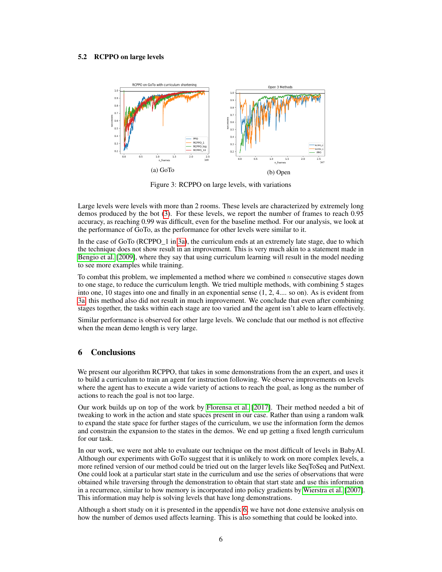#### <span id="page-5-0"></span>5.2 RCPPO on large levels



Figure 3: RCPPO on large levels, with variations

Large levels were levels with more than 2 rooms. These levels are characterized by extremely long demos produced by the bot [\(3\)](#page-7-5). For these levels, we report the number of frames to reach 0.95 accuracy, as reaching 0.99 was difficult, even for the baseline method. For our analysis, we look at the performance of GoTo, as the performance for other levels were similar to it.

In the case of GoTo (RCPPO  $1$  in [3a\)](#page-5-0), the curriculum ends at an extremely late stage, due to which the technique does not show result in an improvement. This is very much akin to a statement made in [Bengio et al.](#page-6-2) [\[2009\]](#page-6-2), where they say that using curriculum learning will result in the model needing to see more examples while training.

To combat this problem, we implemented a method where we combined  $n$  consecutive stages down to one stage, to reduce the curriculum length. We tried multiple methods, with combining 5 stages into one, 10 stages into one and finally in an exponential sense (1, 2, 4.... so on). As is evident from [3a,](#page-5-0) this method also did not result in much improvement. We conclude that even after combining stages together, the tasks within each stage are too varied and the agent isn't able to learn effectively.

Similar performance is observed for other large levels. We conclude that our method is not effective when the mean demo length is very large.

### 6 Conclusions

We present our algorithm RCPPO, that takes in some demonstrations from the an expert, and uses it to build a curriculum to train an agent for instruction following. We observe improvements on levels where the agent has to execute a wide variety of actions to reach the goal, as long as the number of actions to reach the goal is not too large.

Our work builds up on top of the work by [Florensa et al.](#page-6-3) [\[2017\]](#page-6-3). Their method needed a bit of tweaking to work in the action and state spaces present in our case. Rather than using a random walk to expand the state space for further stages of the curriculum, we use the information form the demos and constrain the expansion to the states in the demos. We end up getting a fixed length curriculum for our task.

In our work, we were not able to evaluate our technique on the most difficult of levels in BabyAI. Although our experiments with GoTo suggest that it is unlikely to work on more complex levels, a more refined version of our method could be tried out on the larger levels like SeqToSeq and PutNext. One could look at a particular start state in the curriculum and use the series of observations that were obtained while traversing through the demonstration to obtain that start state and use this information in a recurrence, similar to how memory is incorporated into policy gradients by [Wierstra et al.](#page-7-6) [\[2007\]](#page-7-6). This information may help is solving levels that have long demonstrations.

Although a short study on it is presented in the appendix [6,](#page-7-4) we have not done extensive analysis on how the number of demos used affects learning. This is also something that could be looked into.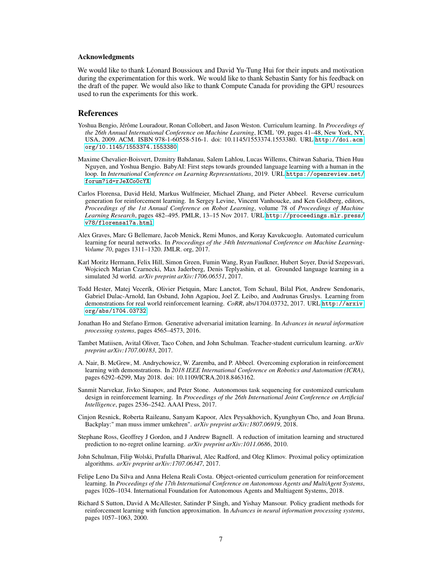#### Acknowledgments

We would like to thank Léonard Boussioux and David Yu-Tung Hui for their inputs and motivation during the experimentation for this work. We would like to thank Sebastin Santy for his feedback on the draft of the paper. We would also like to thank Compute Canada for providing the GPU resources used to run the experiments for this work.

#### References

- <span id="page-6-2"></span>Yoshua Bengio, Jérôme Louradour, Ronan Collobert, and Jason Weston. Curriculum learning. In *Proceedings of the 26th Annual International Conference on Machine Learning*, ICML '09, pages 41–48, New York, NY, USA, 2009. ACM. ISBN 978-1-60558-516-1. doi: 10.1145/1553374.1553380. URL [http://doi.acm.](http://doi.acm.org/10.1145/1553374.1553380) [org/10.1145/1553374.1553380](http://doi.acm.org/10.1145/1553374.1553380).
- <span id="page-6-1"></span>Maxime Chevalier-Boisvert, Dzmitry Bahdanau, Salem Lahlou, Lucas Willems, Chitwan Saharia, Thien Huu Nguyen, and Yoshua Bengio. BabyAI: First steps towards grounded language learning with a human in the loop. In *International Conference on Learning Representations*, 2019. URL [https://openreview.net/](https://openreview.net/forum?id=rJeXCo0cYX) [forum?id=rJeXCo0cYX](https://openreview.net/forum?id=rJeXCo0cYX).
- <span id="page-6-3"></span>Carlos Florensa, David Held, Markus Wulfmeier, Michael Zhang, and Pieter Abbeel. Reverse curriculum generation for reinforcement learning. In Sergey Levine, Vincent Vanhoucke, and Ken Goldberg, editors, *Proceedings of the 1st Annual Conference on Robot Learning*, volume 78 of *Proceedings of Machine Learning Research*, pages 482–495. PMLR, 13–15 Nov 2017. URL [http://proceedings.mlr.press/](http://proceedings.mlr.press/v78/florensa17a.html) [v78/florensa17a.html](http://proceedings.mlr.press/v78/florensa17a.html).
- <span id="page-6-9"></span>Alex Graves, Marc G Bellemare, Jacob Menick, Remi Munos, and Koray Kavukcuoglu. Automated curriculum learning for neural networks. In *Proceedings of the 34th International Conference on Machine Learning-Volume 70*, pages 1311–1320. JMLR. org, 2017.
- <span id="page-6-0"></span>Karl Moritz Hermann, Felix Hill, Simon Green, Fumin Wang, Ryan Faulkner, Hubert Soyer, David Szepesvari, Wojciech Marian Czarnecki, Max Jaderberg, Denis Teplyashin, et al. Grounded language learning in a simulated 3d world. *arXiv preprint arXiv:1706.06551*, 2017.
- <span id="page-6-12"></span>Todd Hester, Matej Vecerík, Olivier Pietquin, Marc Lanctot, Tom Schaul, Bilal Piot, Andrew Sendonaris, Gabriel Dulac-Arnold, Ian Osband, John Agapiou, Joel Z. Leibo, and Audrunas Gruslys. Learning from demonstrations for real world reinforcement learning. *CoRR*, abs/1704.03732, 2017. URL [http://arxiv.](http://arxiv.org/abs/1704.03732) [org/abs/1704.03732](http://arxiv.org/abs/1704.03732).
- <span id="page-6-6"></span>Jonathan Ho and Stefano Ermon. Generative adversarial imitation learning. In *Advances in neural information processing systems*, pages 4565–4573, 2016.
- <span id="page-6-8"></span>Tambet Matiisen, Avital Oliver, Taco Cohen, and John Schulman. Teacher-student curriculum learning. *arXiv preprint arXiv:1707.00183*, 2017.
- <span id="page-6-11"></span>A. Nair, B. McGrew, M. Andrychowicz, W. Zaremba, and P. Abbeel. Overcoming exploration in reinforcement learning with demonstrations. In *2018 IEEE International Conference on Robotics and Automation (ICRA)*, pages 6292–6299, May 2018. doi: 10.1109/ICRA.2018.8463162.
- <span id="page-6-10"></span>Sanmit Narvekar, Jivko Sinapov, and Peter Stone. Autonomous task sequencing for customized curriculum design in reinforcement learning. In *Proceedings of the 26th International Joint Conference on Artificial Intelligence*, pages 2536–2542. AAAI Press, 2017.
- <span id="page-6-13"></span>Cinjon Resnick, Roberta Raileanu, Sanyam Kapoor, Alex Peysakhovich, Kyunghyun Cho, and Joan Bruna. Backplay:" man muss immer umkehren". *arXiv preprint arXiv:1807.06919*, 2018.
- <span id="page-6-4"></span>Stephane Ross, Geoffrey J Gordon, and J Andrew Bagnell. A reduction of imitation learning and structured prediction to no-regret online learning. *arXiv preprint arXiv:1011.0686*, 2010.
- <span id="page-6-14"></span>John Schulman, Filip Wolski, Prafulla Dhariwal, Alec Radford, and Oleg Klimov. Proximal policy optimization algorithms. *arXiv preprint arXiv:1707.06347*, 2017.
- <span id="page-6-7"></span>Felipe Leno Da Silva and Anna Helena Reali Costa. Object-oriented curriculum generation for reinforcement learning. In *Proceedings of the 17th International Conference on Autonomous Agents and MultiAgent Systems*, pages 1026–1034. International Foundation for Autonomous Agents and Multiagent Systems, 2018.
- <span id="page-6-5"></span>Richard S Sutton, David A McAllester, Satinder P Singh, and Yishay Mansour. Policy gradient methods for reinforcement learning with function approximation. In *Advances in neural information processing systems*, pages 1057–1063, 2000.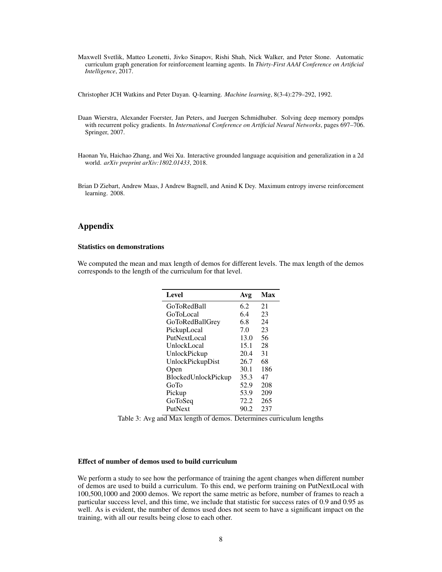<span id="page-7-3"></span>Maxwell Svetlik, Matteo Leonetti, Jivko Sinapov, Rishi Shah, Nick Walker, and Peter Stone. Automatic curriculum graph generation for reinforcement learning agents. In *Thirty-First AAAI Conference on Artificial Intelligence*, 2017.

<span id="page-7-1"></span>Christopher JCH Watkins and Peter Dayan. Q-learning. *Machine learning*, 8(3-4):279–292, 1992.

- <span id="page-7-6"></span>Daan Wierstra, Alexander Foerster, Jan Peters, and Juergen Schmidhuber. Solving deep memory pomdps with recurrent policy gradients. In *International Conference on Artificial Neural Networks*, pages 697–706. Springer, 2007.
- <span id="page-7-0"></span>Haonan Yu, Haichao Zhang, and Wei Xu. Interactive grounded language acquisition and generalization in a 2d world. *arXiv preprint arXiv:1802.01433*, 2018.
- <span id="page-7-2"></span>Brian D Ziebart, Andrew Maas, J Andrew Bagnell, and Anind K Dey. Maximum entropy inverse reinforcement learning. 2008.

### Appendix

#### Statistics on demonstrations

<span id="page-7-5"></span>We computed the mean and max length of demos for different levels. The max length of the demos corresponds to the length of the curriculum for that level.

| Level                      | Avg  | Max |
|----------------------------|------|-----|
| <b>GoToRedBall</b>         | 6.2  | 21  |
| GoToLocal                  | 6.4  | 23  |
| <b>GoToRedBallGrey</b>     | 6.8  | 24  |
| PickupLocal                | 7.0  | 23  |
| PutNextLocal               | 13.0 | 56  |
| UnlockLocal                | 15.1 | 28  |
| UnlockPickup               | 20.4 | 31  |
| UnlockPickupDist           | 26.7 | 68  |
| Open                       | 30.1 | 186 |
| <b>BlockedUnlockPickup</b> | 35.3 | 47  |
| GoTo                       | 52.9 | 208 |
| Pickup                     | 53.9 | 209 |
| GoToSeq                    | 72.2 | 265 |
| PutNext                    | 90.2 | 237 |

Table 3: Avg and Max length of demos. Determines curriculum lengths

#### <span id="page-7-4"></span>Effect of number of demos used to build curriculum

We perform a study to see how the performance of training the agent changes when different number of demos are used to build a curriculum. To this end, we perform training on PutNextLocal with 100,500,1000 and 2000 demos. We report the same metric as before, number of frames to reach a particular success level, and this time, we include that statistic for success rates of 0.9 and 0.95 as well. As is evident, the number of demos used does not seem to have a significant impact on the training, with all our results being close to each other.